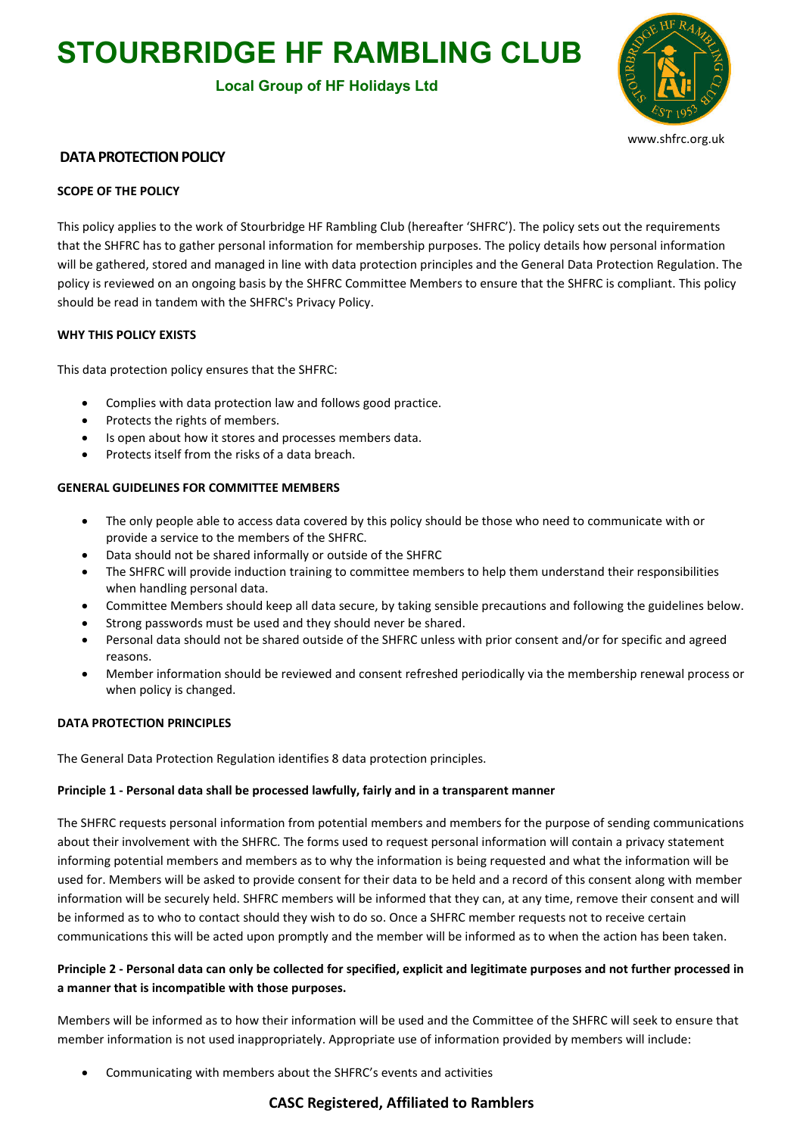# **STOURBRIDGE HF RAMBLING CLUB**

# **Local Group of HF Holidays Ltd**



www.shfrc.org.uk

### **DATA PROTECTION POLICY**

#### **SCOPE OF THE POLICY**

This policy applies to the work of Stourbridge HF Rambling Club (hereafter 'SHFRC'). The policy sets out the requirements that the SHFRC has to gather personal information for membership purposes. The policy details how personal information will be gathered, stored and managed in line with data protection principles and the General Data Protection Regulation. The policy is reviewed on an ongoing basis by the SHFRC Committee Members to ensure that the SHFRC is compliant. This policy should be read in tandem with the SHFRC's Privacy Policy.

#### **WHY THIS POLICY EXISTS**

This data protection policy ensures that the SHFRC:

- Complies with data protection law and follows good practice.
- Protects the rights of members.
- Is open about how it stores and processes members data.
- Protects itself from the risks of a data breach.

#### **GENERAL GUIDELINES FOR COMMITTEE MEMBERS**

- The only people able to access data covered by this policy should be those who need to communicate with or provide a service to the members of the SHFRC.
- Data should not be shared informally or outside of the SHFRC
- The SHFRC will provide induction training to committee members to help them understand their responsibilities when handling personal data.
- Committee Members should keep all data secure, by taking sensible precautions and following the guidelines below.
- Strong passwords must be used and they should never be shared.
- Personal data should not be shared outside of the SHFRC unless with prior consent and/or for specific and agreed reasons.
- Member information should be reviewed and consent refreshed periodically via the membership renewal process or when policy is changed.

#### **DATA PROTECTION PRINCIPLES**

The General Data Protection Regulation identifies 8 data protection principles.

#### **Principle 1 - Personal data shall be processed lawfully, fairly and in a transparent manner**

The SHFRC requests personal information from potential members and members for the purpose of sending communications about their involvement with the SHFRC. The forms used to request personal information will contain a privacy statement informing potential members and members as to why the information is being requested and what the information will be used for. Members will be asked to provide consent for their data to be held and a record of this consent along with member information will be securely held. SHFRC members will be informed that they can, at any time, remove their consent and will be informed as to who to contact should they wish to do so. Once a SHFRC member requests not to receive certain communications this will be acted upon promptly and the member will be informed as to when the action has been taken.

# **Principle 2 - Personal data can only be collected for specified, explicit and legitimate purposes and not further processed in a manner that is incompatible with those purposes.**

Members will be informed as to how their information will be used and the Committee of the SHFRC will seek to ensure that member information is not used inappropriately. Appropriate use of information provided by members will include:

Communicating with members about the SHFRC's events and activities

# **CASC Registered, Affiliated to Ramblers**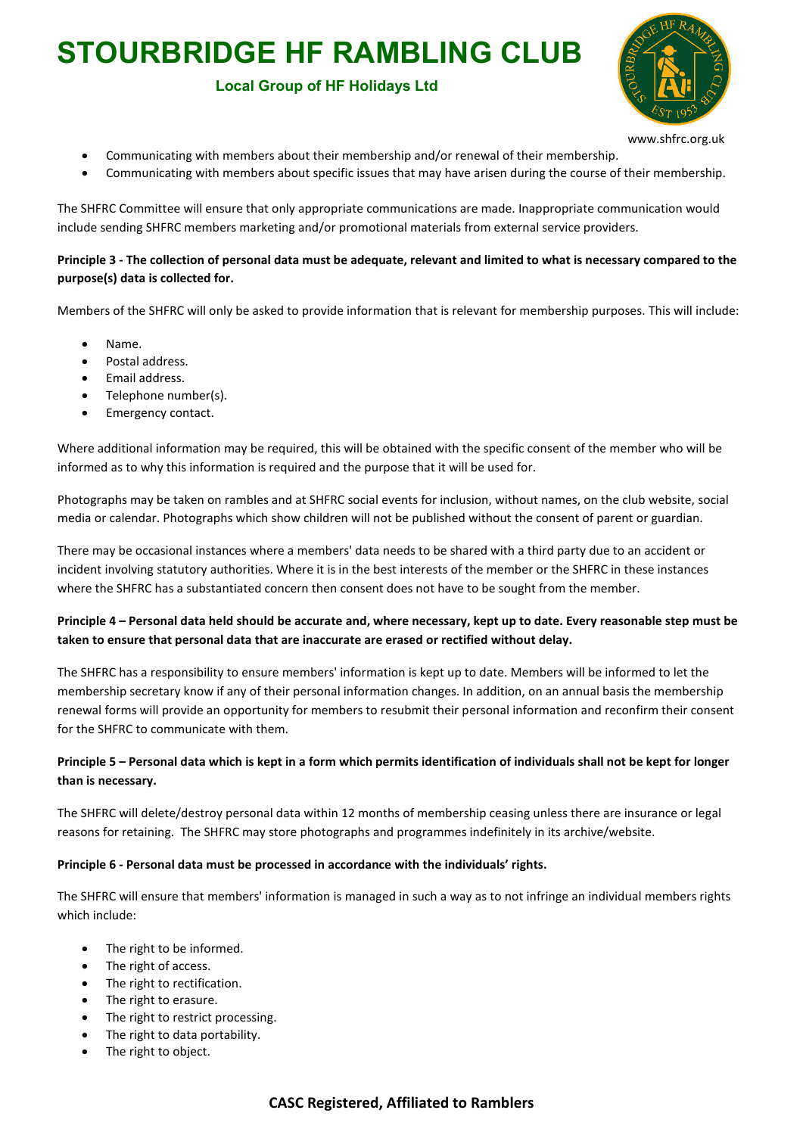# **STOURBRIDGE HF RAMBLING CLUB**

# **Local Group of HF Holidays Ltd**



www.shfrc.org.uk

- Communicating with members about their membership and/or renewal of their membership.
- Communicating with members about specific issues that may have arisen during the course of their membership.

The SHFRC Committee will ensure that only appropriate communications are made. Inappropriate communication would include sending SHFRC members marketing and/or promotional materials from external service providers.

# **Principle 3 - The collection of personal data must be adequate, relevant and limited to what is necessary compared to the purpose(s) data is collected for.**

Members of the SHFRC will only be asked to provide information that is relevant for membership purposes. This will include:

- Name.
- Postal address.
- Email address.
- Telephone number(s).
- Emergency contact.

Where additional information may be required, this will be obtained with the specific consent of the member who will be informed as to why this information is required and the purpose that it will be used for.

Photographs may be taken on rambles and at SHFRC social events for inclusion, without names, on the club website, social media or calendar. Photographs which show children will not be published without the consent of parent or guardian.

There may be occasional instances where a members' data needs to be shared with a third party due to an accident or incident involving statutory authorities. Where it is in the best interests of the member or the SHFRC in these instances where the SHFRC has a substantiated concern then consent does not have to be sought from the member.

# **Principle 4 – Personal data held should be accurate and, where necessary, kept up to date. Every reasonable step must be taken to ensure that personal data that are inaccurate are erased or rectified without delay.**

The SHFRC has a responsibility to ensure members' information is kept up to date. Members will be informed to let the membership secretary know if any of their personal information changes. In addition, on an annual basis the membership renewal forms will provide an opportunity for members to resubmit their personal information and reconfirm their consent for the SHFRC to communicate with them.

# **Principle 5 – Personal data which is kept in a form which permits identification of individuals shall not be kept for longer than is necessary.**

The SHFRC will delete/destroy personal data within 12 months of membership ceasing unless there are insurance or legal reasons for retaining. The SHFRC may store photographs and programmes indefinitely in its archive/website.

#### **Principle 6 - Personal data must be processed in accordance with the individuals' rights.**

The SHFRC will ensure that members' information is managed in such a way as to not infringe an individual members rights which include:

- The right to be informed.
- The right of access.
- The right to rectification.
- The right to erasure.
- The right to restrict processing.
- The right to data portability.
- The right to object.

# **CASC Registered, Affiliated to Ramblers**